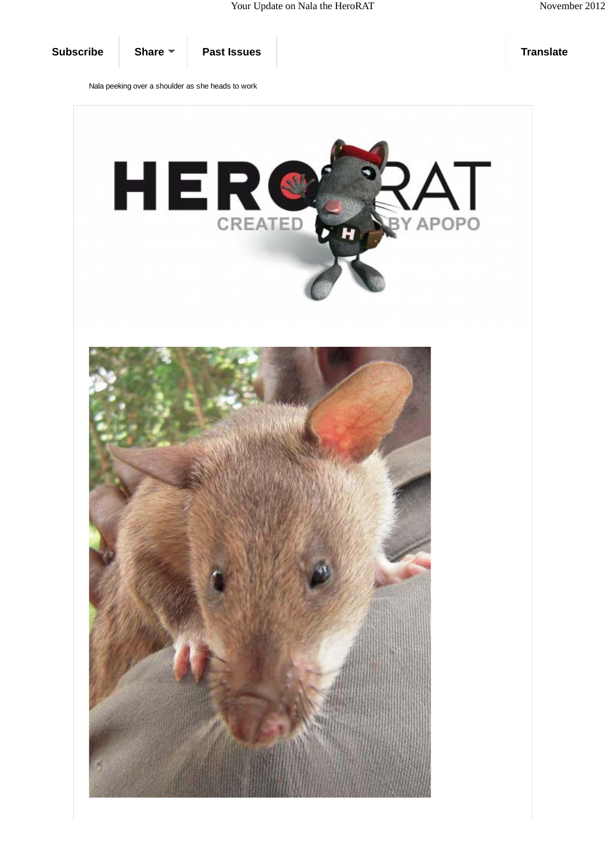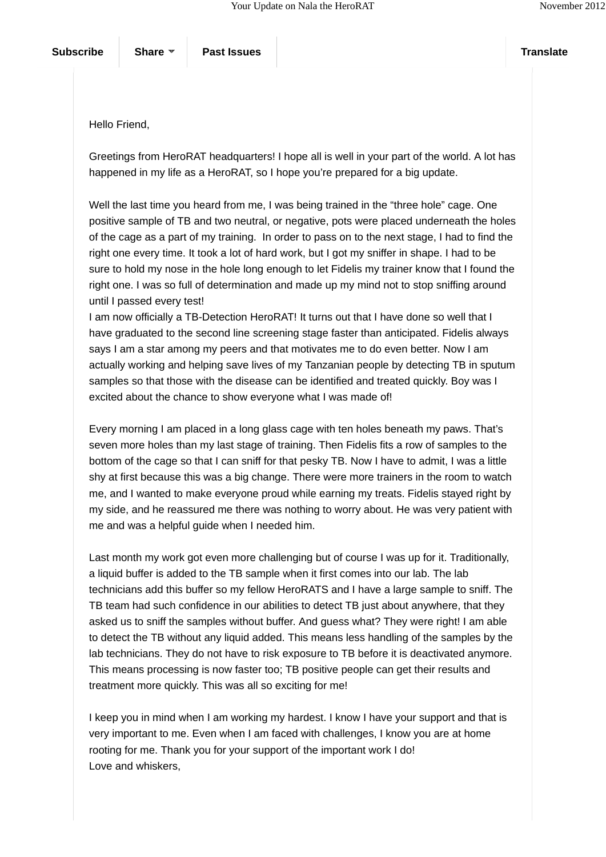Hello Friend,

Greetings from HeroRAT headquarters! I hope all is well in your part of the world. A lot has happened in my life as a HeroRAT, so I hope you're prepared for a big update.

Well the last time you heard from me, I was being trained in the "three hole" cage. One positive sample of TB and two neutral, or negative, pots were placed underneath the holes of the cage as a part of my training. In order to pass on to the next stage, I had to find the right one every time. It took a lot of hard work, but I got my sniffer in shape. I had to be sure to hold my nose in the hole long enough to let Fidelis my trainer know that I found the right one. I was so full of determination and made up my mind not to stop sniffing around until I passed every test!

I am now officially a TB-Detection HeroRAT! It turns out that I have done so well that I have graduated to the second line screening stage faster than anticipated. Fidelis always says I am a star among my peers and that motivates me to do even better. Now I am actually working and helping save lives of my Tanzanian people by detecting TB in sputum samples so that those with the disease can be identified and treated quickly. Boy was I excited about the chance to show everyone what I was made of!

Every morning I am placed in a long glass cage with ten holes beneath my paws. That's seven more holes than my last stage of training. Then Fidelis fits a row of samples to the bottom of the cage so that I can sniff for that pesky TB. Now I have to admit, I was a little shy at first because this was a big change. There were more trainers in the room to watch me, and I wanted to make everyone proud while earning my treats. Fidelis stayed right by my side, and he reassured me there was nothing to worry about. He was very patient with me and was a helpful guide when I needed him.

Last month my work got even more challenging but of course I was up for it. Traditionally, a liquid buffer is added to the TB sample when it first comes into our lab. The lab technicians add this buffer so my fellow HeroRATS and I have a large sample to sniff. The TB team had such confidence in our abilities to detect TB just about anywhere, that they asked us to sniff the samples without buffer. And guess what? They were right! I am able to detect the TB without any liquid added. This means less handling of the samples by the lab technicians. They do not have to risk exposure to TB before it is deactivated anymore. This means processing is now faster too; TB positive people can get their results and treatment more quickly. This was all so exciting for me!

I keep you in mind when I am working my hardest. I know I have your support and that is very important to me. Even when I am faced with challenges, I know you are at home rooting for me. Thank you for your support of the important work I do! Love and whiskers,